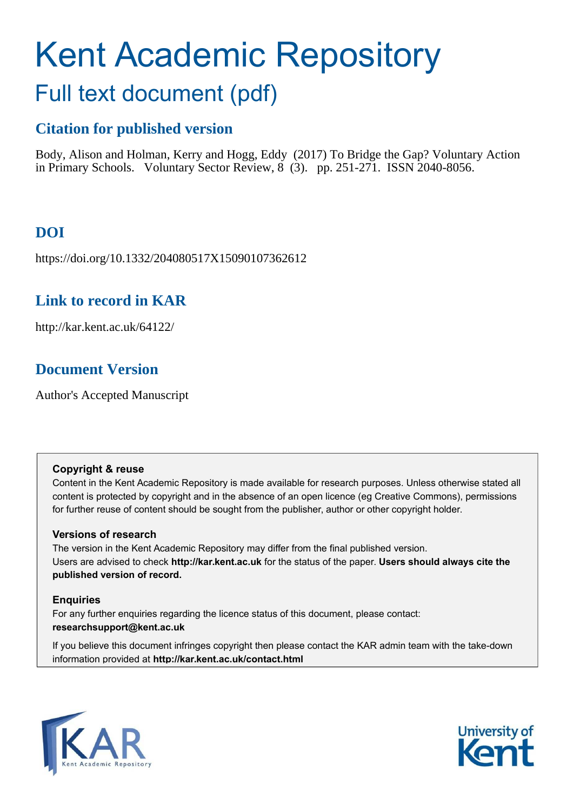# Kent Academic Repository Full text document (pdf)

# **Citation for published version**

Body, Alison and Holman, Kerry and Hogg, Eddy (2017) To Bridge the Gap? Voluntary Action in Primary Schools. Voluntary Sector Review, 8 (3). pp. 251-271. ISSN 2040-8056.

# **DOI**

https://doi.org/10.1332/204080517X15090107362612

## **Link to record in KAR**

http://kar.kent.ac.uk/64122/

## **Document Version**

Author's Accepted Manuscript

#### **Copyright & reuse**

Content in the Kent Academic Repository is made available for research purposes. Unless otherwise stated all content is protected by copyright and in the absence of an open licence (eg Creative Commons), permissions for further reuse of content should be sought from the publisher, author or other copyright holder.

#### **Versions of research**

The version in the Kent Academic Repository may differ from the final published version. Users are advised to check **http://kar.kent.ac.uk** for the status of the paper. **Users should always cite the published version of record.**

#### **Enquiries**

For any further enquiries regarding the licence status of this document, please contact: **researchsupport@kent.ac.uk**

If you believe this document infringes copyright then please contact the KAR admin team with the take-down information provided at **http://kar.kent.ac.uk/contact.html**



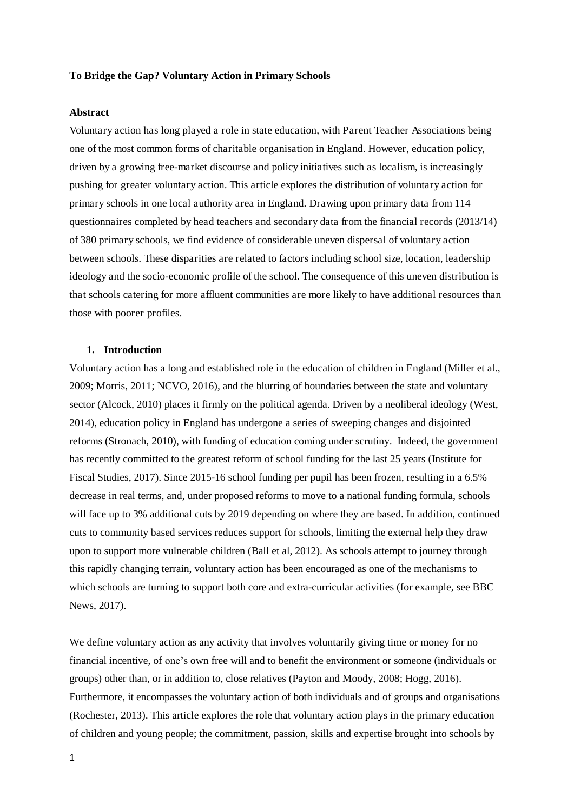#### **To Bridge the Gap? Voluntary Action in Primary Schools**

#### **Abstract**

Voluntary action has long played a role in state education, with Parent Teacher Associations being one of the most common forms of charitable organisation in England. However, education policy, driven by a growing free-market discourse and policy initiatives such as localism, is increasingly pushing for greater voluntary action. This article explores the distribution of voluntary action for primary schools in one local authority area in England. Drawing upon primary data from 114 questionnaires completed by head teachers and secondary data from the financial records (2013/14) of 380 primary schools, we find evidence of considerable uneven dispersal of voluntary action between schools. These disparities are related to factors including school size, location, leadership ideology and the socio-economic profile of the school. The consequence of this uneven distribution is that schools catering for more affluent communities are more likely to have additional resources than those with poorer profiles.

#### **1. Introduction**

Voluntary action has a long and established role in the education of children in England (Miller et al., 2009; Morris, 2011; NCVO, 2016), and the blurring of boundaries between the state and voluntary sector (Alcock, 2010) places it firmly on the political agenda. Driven by a neoliberal ideology (West, 2014), education policy in England has undergone a series of sweeping changes and disjointed reforms (Stronach, 2010), with funding of education coming under scrutiny. Indeed, the government has recently committed to the greatest reform of school funding for the last 25 years (Institute for Fiscal Studies, 2017). Since 2015-16 school funding per pupil has been frozen, resulting in a 6.5% decrease in real terms, and, under proposed reforms to move to a national funding formula, schools will face up to 3% additional cuts by 2019 depending on where they are based. In addition, continued cuts to community based services reduces support for schools, limiting the external help they draw upon to support more vulnerable children (Ball et al, 2012). As schools attempt to journey through this rapidly changing terrain, voluntary action has been encouraged as one of the mechanisms to which schools are turning to support both core and extra-curricular activities (for example, see BBC News, 2017).

We define voluntary action as any activity that involves voluntarily giving time or money for no financial incentive, of one's own free will and to benefit the environment or someone (individuals or groups) other than, or in addition to, close relatives (Payton and Moody, 2008; Hogg, 2016). Furthermore, it encompasses the voluntary action of both individuals and of groups and organisations (Rochester, 2013). This article explores the role that voluntary action plays in the primary education of children and young people; the commitment, passion, skills and expertise brought into schools by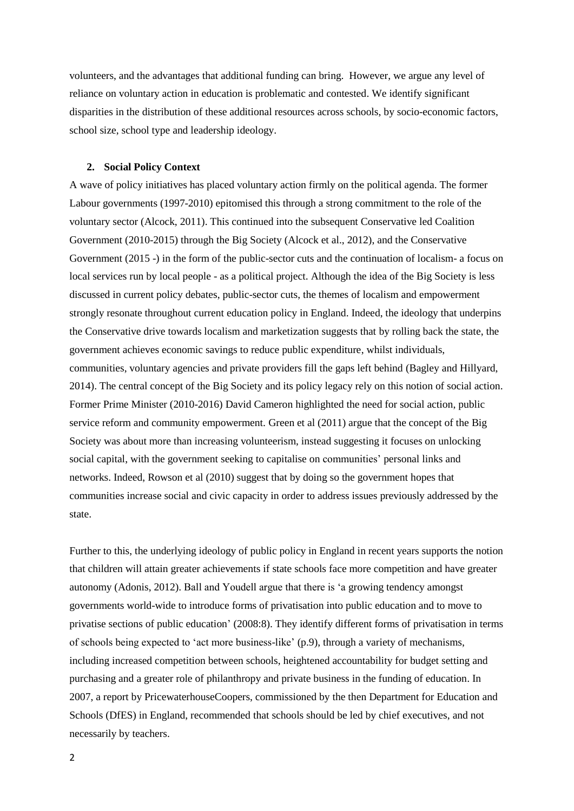volunteers, and the advantages that additional funding can bring. However, we argue any level of reliance on voluntary action in education is problematic and contested. We identify significant disparities in the distribution of these additional resources across schools, by socio-economic factors, school size, school type and leadership ideology.

#### **2. Social Policy Context**

A wave of policy initiatives has placed voluntary action firmly on the political agenda. The former Labour governments (1997-2010) epitomised this through a strong commitment to the role of the voluntary sector (Alcock, 2011). This continued into the subsequent Conservative led Coalition Government (2010-2015) through the Big Society (Alcock et al., 2012), and the Conservative Government (2015 -) in the form of the public-sector cuts and the continuation of localism- a focus on local services run by local people - as a political project. Although the idea of the Big Society is less discussed in current policy debates, public-sector cuts, the themes of localism and empowerment strongly resonate throughout current education policy in England. Indeed, the ideology that underpins the Conservative drive towards localism and marketization suggests that by rolling back the state, the government achieves economic savings to reduce public expenditure, whilst individuals, communities, voluntary agencies and private providers fill the gaps left behind (Bagley and Hillyard, 2014). The central concept of the Big Society and its policy legacy rely on this notion of social action. Former Prime Minister (2010-2016) David Cameron highlighted the need for social action, public service reform and community empowerment. Green et al (2011) argue that the concept of the Big Society was about more than increasing volunteerism, instead suggesting it focuses on unlocking social capital, with the government seeking to capitalise on communities' personal links and networks. Indeed, Rowson et al (2010) suggest that by doing so the government hopes that communities increase social and civic capacity in order to address issues previously addressed by the state.

Further to this, the underlying ideology of public policy in England in recent years supports the notion that children will attain greater achievements if state schools face more competition and have greater autonomy (Adonis, 2012). Ball and Youdell argue that there is 'a growing tendency amongst governments world-wide to introduce forms of privatisation into public education and to move to privatise sections of public education' (2008:8). They identify different forms of privatisation in terms of schools being expected to 'act more business-like' (p.9), through a variety of mechanisms, including increased competition between schools, heightened accountability for budget setting and purchasing and a greater role of philanthropy and private business in the funding of education. In 2007, a report by PricewaterhouseCoopers, commissioned by the then Department for Education and Schools (DfES) in England, recommended that schools should be led by chief executives, and not necessarily by teachers.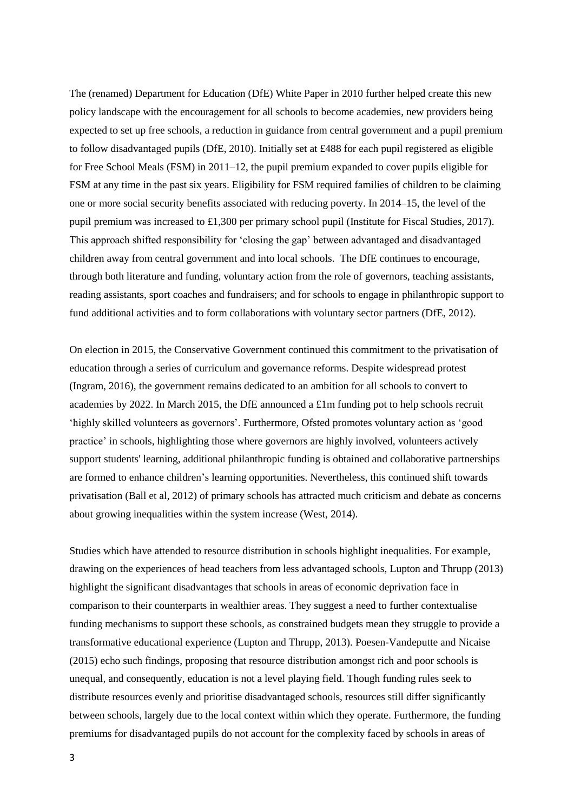The (renamed) Department for Education (DfE) White Paper in 2010 further helped create this new policy landscape with the encouragement for all schools to become academies, new providers being expected to set up free schools, a reduction in guidance from central government and a pupil premium to follow disadvantaged pupils (DfE, 2010). Initially set at £488 for each pupil registered as eligible for Free School Meals (FSM) in 2011–12, the pupil premium expanded to cover pupils eligible for FSM at any time in the past six years. Eligibility for FSM required families of children to be claiming one or more social security benefits associated with reducing poverty. In 2014–15, the level of the pupil premium was increased to £1,300 per primary school pupil (Institute for Fiscal Studies, 2017). This approach shifted responsibility for 'closing the gap' between advantaged and disadvantaged children away from central government and into local schools. The DfE continues to encourage, through both literature and funding, voluntary action from the role of governors, teaching assistants, reading assistants, sport coaches and fundraisers; and for schools to engage in philanthropic support to fund additional activities and to form collaborations with voluntary sector partners (DfE, 2012).

On election in 2015, the Conservative Government continued this commitment to the privatisation of education through a series of curriculum and governance reforms. Despite widespread protest (Ingram, 2016), the government remains dedicated to an ambition for all schools to convert to academies by 2022. In March 2015, the DfE announced a £1m funding pot to help schools recruit 'highly skilled volunteers as governors'. Furthermore, Ofsted promotes voluntary action as 'good practice' in schools, highlighting those where governors are highly involved, volunteers actively support students' learning, additional philanthropic funding is obtained and collaborative partnerships are formed to enhance children's learning opportunities. Nevertheless, this continued shift towards privatisation (Ball et al, 2012) of primary schools has attracted much criticism and debate as concerns about growing inequalities within the system increase (West, 2014).

Studies which have attended to resource distribution in schools highlight inequalities. For example, drawing on the experiences of head teachers from less advantaged schools, Lupton and Thrupp (2013) highlight the significant disadvantages that schools in areas of economic deprivation face in comparison to their counterparts in wealthier areas. They suggest a need to further contextualise funding mechanisms to support these schools, as constrained budgets mean they struggle to provide a transformative educational experience (Lupton and Thrupp, 2013). Poesen-Vandeputte and Nicaise (2015) echo such findings, proposing that resource distribution amongst rich and poor schools is unequal, and consequently, education is not a level playing field. Though funding rules seek to distribute resources evenly and prioritise disadvantaged schools, resources still differ significantly between schools, largely due to the local context within which they operate. Furthermore, the funding premiums for disadvantaged pupils do not account for the complexity faced by schools in areas of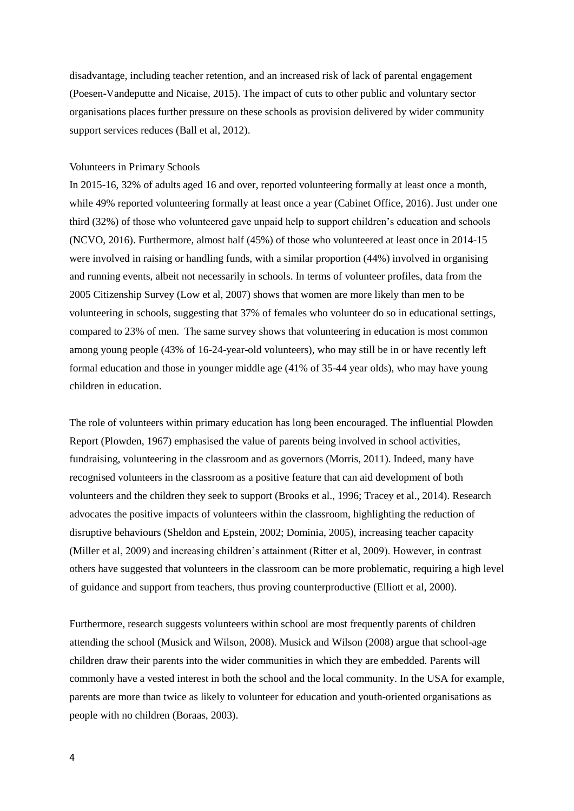disadvantage, including teacher retention, and an increased risk of lack of parental engagement (Poesen-Vandeputte and Nicaise, 2015). The impact of cuts to other public and voluntary sector organisations places further pressure on these schools as provision delivered by wider community support services reduces (Ball et al, 2012).

#### Volunteers in Primary Schools

In 2015-16, 32% of adults aged 16 and over, reported volunteering formally at least once a month, while 49% reported volunteering formally at least once a year (Cabinet Office, 2016). Just under one third (32%) of those who volunteered gave unpaid help to support children's education and schools (NCVO, 2016). Furthermore, almost half (45%) of those who volunteered at least once in 2014-15 were involved in raising or handling funds, with a similar proportion (44%) involved in organising and running events, albeit not necessarily in schools. In terms of volunteer profiles, data from the 2005 Citizenship Survey (Low et al, 2007) shows that women are more likely than men to be volunteering in schools, suggesting that 37% of females who volunteer do so in educational settings, compared to 23% of men. The same survey shows that volunteering in education is most common among young people (43% of 16-24-year-old volunteers), who may still be in or have recently left formal education and those in younger middle age (41% of 35-44 year olds), who may have young children in education.

The role of volunteers within primary education has long been encouraged. The influential Plowden Report (Plowden, 1967) emphasised the value of parents being involved in school activities, fundraising, volunteering in the classroom and as governors (Morris, 2011). Indeed, many have recognised volunteers in the classroom as a positive feature that can aid development of both volunteers and the children they seek to support (Brooks et al., 1996; Tracey et al., 2014). Research advocates the positive impacts of volunteers within the classroom, highlighting the reduction of disruptive behaviours (Sheldon and Epstein, 2002; Dominia, 2005), increasing teacher capacity (Miller et al, 2009) and increasing children's attainment (Ritter et al, 2009). However, in contrast others have suggested that volunteers in the classroom can be more problematic, requiring a high level of guidance and support from teachers, thus proving counterproductive (Elliott et al, 2000).

Furthermore, research suggests volunteers within school are most frequently parents of children attending the school (Musick and Wilson, 2008). Musick and Wilson (2008) argue that school-age children draw their parents into the wider communities in which they are embedded. Parents will commonly have a vested interest in both the school and the local community. In the USA for example, parents are more than twice as likely to volunteer for education and youth-oriented organisations as people with no children (Boraas, 2003).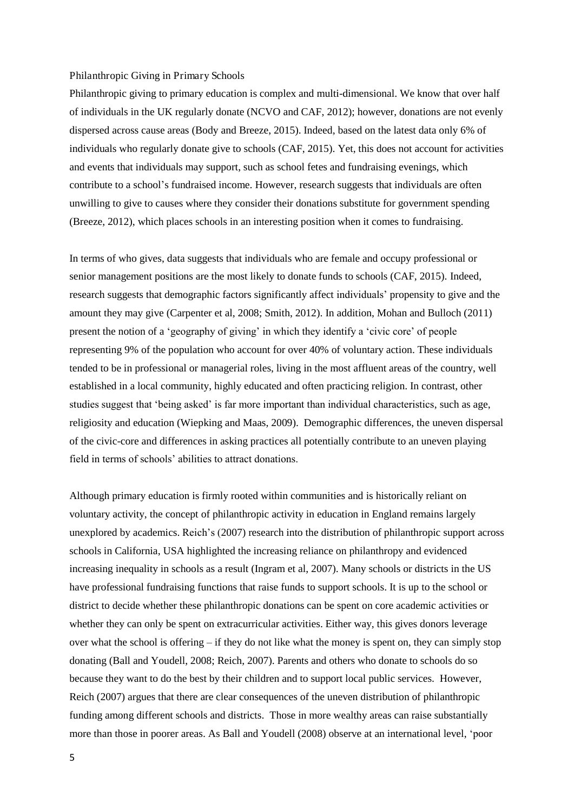#### Philanthropic Giving in Primary Schools

Philanthropic giving to primary education is complex and multi-dimensional. We know that over half of individuals in the UK regularly donate (NCVO and CAF, 2012); however, donations are not evenly dispersed across cause areas (Body and Breeze, 2015). Indeed, based on the latest data only 6% of individuals who regularly donate give to schools (CAF, 2015). Yet, this does not account for activities and events that individuals may support, such as school fetes and fundraising evenings, which contribute to a school's fundraised income. However, research suggests that individuals are often unwilling to give to causes where they consider their donations substitute for government spending (Breeze, 2012), which places schools in an interesting position when it comes to fundraising.

In terms of who gives, data suggests that individuals who are female and occupy professional or senior management positions are the most likely to donate funds to schools (CAF, 2015). Indeed, research suggests that demographic factors significantly affect individuals' propensity to give and the amount they may give (Carpenter et al, 2008; Smith, 2012). In addition, Mohan and Bulloch (2011) present the notion of a 'geography of giving' in which they identify a 'civic core' of people representing 9% of the population who account for over 40% of voluntary action. These individuals tended to be in professional or managerial roles, living in the most affluent areas of the country, well established in a local community, highly educated and often practicing religion. In contrast, other studies suggest that 'being asked' is far more important than individual characteristics, such as age, religiosity and education (Wiepking and Maas, 2009). Demographic differences, the uneven dispersal of the civic-core and differences in asking practices all potentially contribute to an uneven playing field in terms of schools' abilities to attract donations.

Although primary education is firmly rooted within communities and is historically reliant on voluntary activity, the concept of philanthropic activity in education in England remains largely unexplored by academics. Reich's (2007) research into the distribution of philanthropic support across schools in California, USA highlighted the increasing reliance on philanthropy and evidenced increasing inequality in schools as a result (Ingram et al, 2007). Many schools or districts in the US have professional fundraising functions that raise funds to support schools. It is up to the school or district to decide whether these philanthropic donations can be spent on core academic activities or whether they can only be spent on extracurricular activities. Either way, this gives donors leverage over what the school is offering – if they do not like what the money is spent on, they can simply stop donating (Ball and Youdell, 2008; Reich, 2007). Parents and others who donate to schools do so because they want to do the best by their children and to support local public services. However, Reich (2007) argues that there are clear consequences of the uneven distribution of philanthropic funding among different schools and districts. Those in more wealthy areas can raise substantially more than those in poorer areas. As Ball and Youdell (2008) observe at an international level, 'poor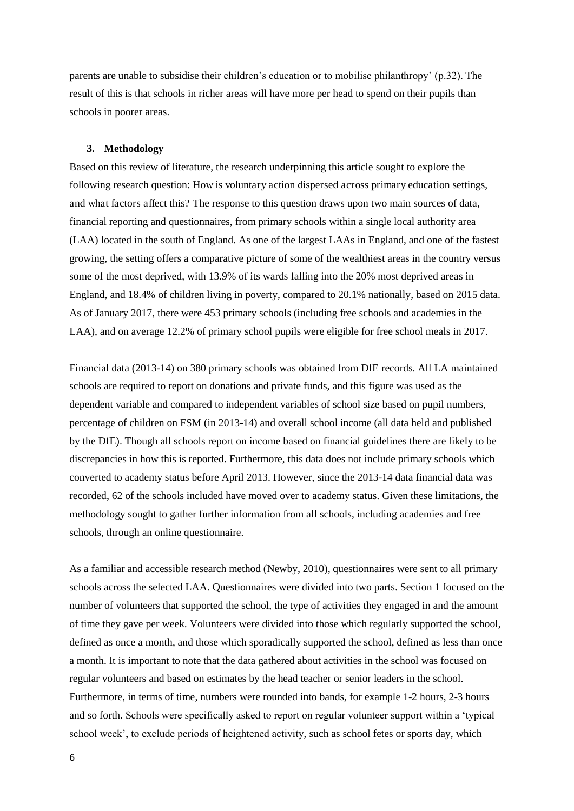parents are unable to subsidise their children's education or to mobilise philanthropy' (p.32). The result of this is that schools in richer areas will have more per head to spend on their pupils than schools in poorer areas.

#### **3. Methodology**

Based on this review of literature, the research underpinning this article sought to explore the following research question: How is voluntary action dispersed across primary education settings, and what factors affect this? The response to this question draws upon two main sources of data, financial reporting and questionnaires, from primary schools within a single local authority area (LAA) located in the south of England. As one of the largest LAAs in England, and one of the fastest growing, the setting offers a comparative picture of some of the wealthiest areas in the country versus some of the most deprived, with 13.9% of its wards falling into the 20% most deprived areas in England, and 18.4% of children living in poverty, compared to 20.1% nationally, based on 2015 data. As of January 2017, there were 453 primary schools (including free schools and academies in the LAA), and on average 12.2% of primary school pupils were eligible for free school meals in 2017.

Financial data (2013-14) on 380 primary schools was obtained from DfE records. All LA maintained schools are required to report on donations and private funds, and this figure was used as the dependent variable and compared to independent variables of school size based on pupil numbers, percentage of children on FSM (in 2013-14) and overall school income (all data held and published by the DfE). Though all schools report on income based on financial guidelines there are likely to be discrepancies in how this is reported. Furthermore, this data does not include primary schools which converted to academy status before April 2013. However, since the 2013-14 data financial data was recorded, 62 of the schools included have moved over to academy status. Given these limitations, the methodology sought to gather further information from all schools, including academies and free schools, through an online questionnaire.

As a familiar and accessible research method (Newby, 2010), questionnaires were sent to all primary schools across the selected LAA. Questionnaires were divided into two parts. Section 1 focused on the number of volunteers that supported the school, the type of activities they engaged in and the amount of time they gave per week. Volunteers were divided into those which regularly supported the school, defined as once a month, and those which sporadically supported the school, defined as less than once a month. It is important to note that the data gathered about activities in the school was focused on regular volunteers and based on estimates by the head teacher or senior leaders in the school. Furthermore, in terms of time, numbers were rounded into bands, for example 1-2 hours, 2-3 hours and so forth. Schools were specifically asked to report on regular volunteer support within a 'typical school week', to exclude periods of heightened activity, such as school fetes or sports day, which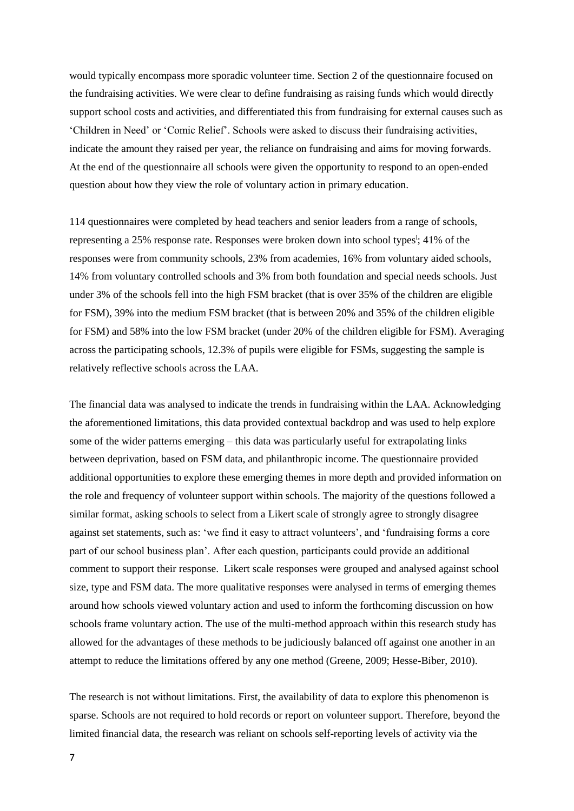would typically encompass more sporadic volunteer time. Section 2 of the questionnaire focused on the fundraising activities. We were clear to define fundraising as raising funds which would directly support school costs and activities, and differentiated this from fundraising for external causes such as 'Children in Need' or 'Comic Relief'. Schools were asked to discuss their fundraising activities, indicate the amount they raised per year, the reliance on fundraising and aims for moving forwards. At the end of the questionnaire all schools were given the opportunity to respond to an open-ended question about how they view the role of voluntary action in primary education.

114 questionnaires were completed by head teachers and senior leaders from a range of schools, representing a 25% response rate. Responses were broken down into school types<sup>i</sup>; 41% of the responses were from community schools, 23% from academies, 16% from voluntary aided schools, 14% from voluntary controlled schools and 3% from both foundation and special needs schools. Just under 3% of the schools fell into the high FSM bracket (that is over 35% of the children are eligible for FSM), 39% into the medium FSM bracket (that is between 20% and 35% of the children eligible for FSM) and 58% into the low FSM bracket (under 20% of the children eligible for FSM). Averaging across the participating schools, 12.3% of pupils were eligible for FSMs, suggesting the sample is relatively reflective schools across the LAA.

The financial data was analysed to indicate the trends in fundraising within the LAA. Acknowledging the aforementioned limitations, this data provided contextual backdrop and was used to help explore some of the wider patterns emerging – this data was particularly useful for extrapolating links between deprivation, based on FSM data, and philanthropic income. The questionnaire provided additional opportunities to explore these emerging themes in more depth and provided information on the role and frequency of volunteer support within schools. The majority of the questions followed a similar format, asking schools to select from a Likert scale of strongly agree to strongly disagree against set statements, such as: 'we find it easy to attract volunteers', and 'fundraising forms a core part of our school business plan'. After each question, participants could provide an additional comment to support their response. Likert scale responses were grouped and analysed against school size, type and FSM data. The more qualitative responses were analysed in terms of emerging themes around how schools viewed voluntary action and used to inform the forthcoming discussion on how schools frame voluntary action. The use of the multi-method approach within this research study has allowed for the advantages of these methods to be judiciously balanced off against one another in an attempt to reduce the limitations offered by any one method (Greene, 2009; Hesse-Biber, 2010).

The research is not without limitations. First, the availability of data to explore this phenomenon is sparse. Schools are not required to hold records or report on volunteer support. Therefore, beyond the limited financial data, the research was reliant on schools self-reporting levels of activity via the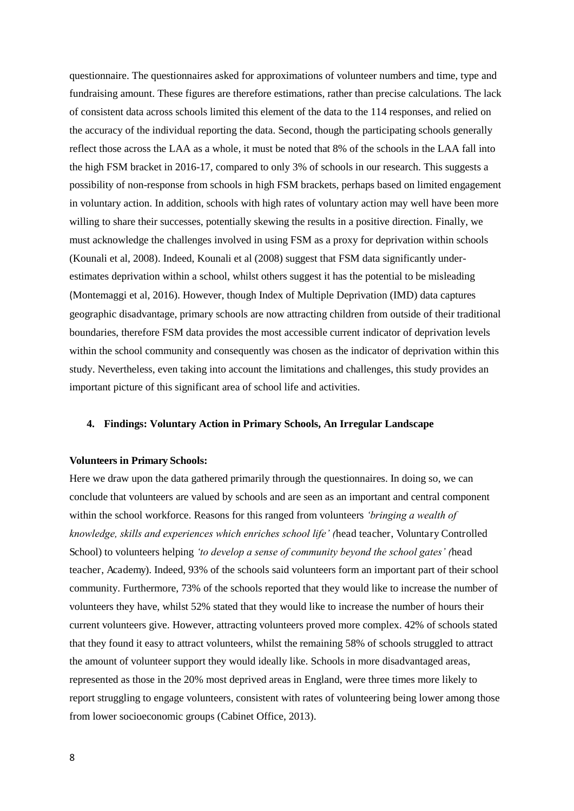questionnaire. The questionnaires asked for approximations of volunteer numbers and time, type and fundraising amount. These figures are therefore estimations, rather than precise calculations. The lack of consistent data across schools limited this element of the data to the 114 responses, and relied on the accuracy of the individual reporting the data. Second, though the participating schools generally reflect those across the LAA as a whole, it must be noted that 8% of the schools in the LAA fall into the high FSM bracket in 2016-17, compared to only 3% of schools in our research. This suggests a possibility of non-response from schools in high FSM brackets, perhaps based on limited engagement in voluntary action. In addition, schools with high rates of voluntary action may well have been more willing to share their successes, potentially skewing the results in a positive direction. Finally, we must acknowledge the challenges involved in using FSM as a proxy for deprivation within schools (Kounali et al, 2008). Indeed, Kounali et al (2008) suggest that FSM data significantly underestimates deprivation within a school, whilst others suggest it has the potential to be misleading (Montemaggi et al, 2016). However, though Index of Multiple Deprivation (IMD) data captures geographic disadvantage, primary schools are now attracting children from outside of their traditional boundaries, therefore FSM data provides the most accessible current indicator of deprivation levels within the school community and consequently was chosen as the indicator of deprivation within this study. Nevertheless, even taking into account the limitations and challenges, this study provides an important picture of this significant area of school life and activities.

#### **4. Findings: Voluntary Action in Primary Schools, An Irregular Landscape**

#### **Volunteers in Primary Schools:**

Here we draw upon the data gathered primarily through the questionnaires. In doing so, we can conclude that volunteers are valued by schools and are seen as an important and central component within the school workforce. Reasons for this ranged from volunteers *'bringing a wealth of knowledge, skills and experiences which enriches school life' (*head teacher, Voluntary Controlled School) to volunteers helping *'to develop a sense of community beyond the school gates' (*head teacher, Academy). Indeed, 93% of the schools said volunteers form an important part of their school community. Furthermore, 73% of the schools reported that they would like to increase the number of volunteers they have, whilst 52% stated that they would like to increase the number of hours their current volunteers give. However, attracting volunteers proved more complex. 42% of schools stated that they found it easy to attract volunteers, whilst the remaining 58% of schools struggled to attract the amount of volunteer support they would ideally like. Schools in more disadvantaged areas, represented as those in the 20% most deprived areas in England, were three times more likely to report struggling to engage volunteers, consistent with rates of volunteering being lower among those from lower socioeconomic groups (Cabinet Office, 2013).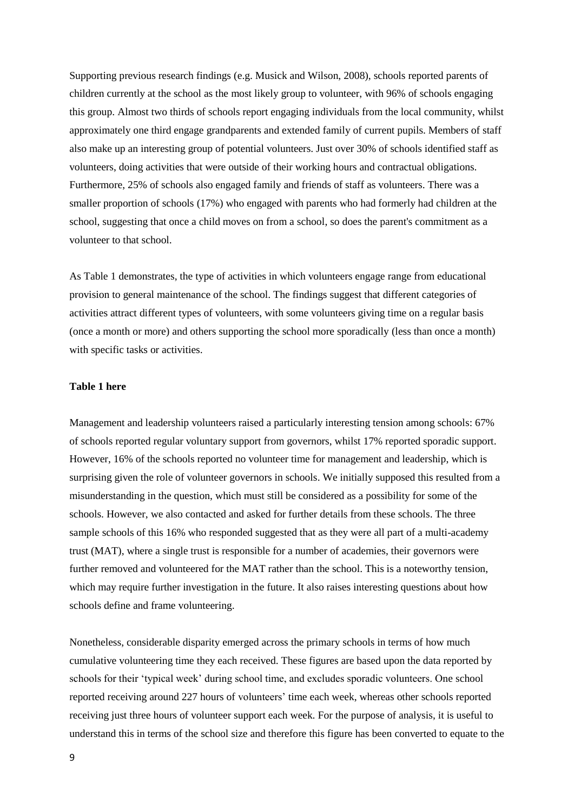Supporting previous research findings (e.g. Musick and Wilson, 2008), schools reported parents of children currently at the school as the most likely group to volunteer, with 96% of schools engaging this group. Almost two thirds of schools report engaging individuals from the local community, whilst approximately one third engage grandparents and extended family of current pupils. Members of staff also make up an interesting group of potential volunteers. Just over 30% of schools identified staff as volunteers, doing activities that were outside of their working hours and contractual obligations. Furthermore, 25% of schools also engaged family and friends of staff as volunteers. There was a smaller proportion of schools (17%) who engaged with parents who had formerly had children at the school, suggesting that once a child moves on from a school, so does the parent's commitment as a volunteer to that school.

As Table 1 demonstrates, the type of activities in which volunteers engage range from educational provision to general maintenance of the school. The findings suggest that different categories of activities attract different types of volunteers, with some volunteers giving time on a regular basis (once a month or more) and others supporting the school more sporadically (less than once a month) with specific tasks or activities.

#### **Table 1 here**

Management and leadership volunteers raised a particularly interesting tension among schools: 67% of schools reported regular voluntary support from governors, whilst 17% reported sporadic support. However, 16% of the schools reported no volunteer time for management and leadership, which is surprising given the role of volunteer governors in schools. We initially supposed this resulted from a misunderstanding in the question, which must still be considered as a possibility for some of the schools. However, we also contacted and asked for further details from these schools. The three sample schools of this 16% who responded suggested that as they were all part of a multi-academy trust (MAT), where a single trust is responsible for a number of academies, their governors were further removed and volunteered for the MAT rather than the school. This is a noteworthy tension, which may require further investigation in the future. It also raises interesting questions about how schools define and frame volunteering.

Nonetheless, considerable disparity emerged across the primary schools in terms of how much cumulative volunteering time they each received. These figures are based upon the data reported by schools for their 'typical week' during school time, and excludes sporadic volunteers. One school reported receiving around 227 hours of volunteers' time each week, whereas other schools reported receiving just three hours of volunteer support each week. For the purpose of analysis, it is useful to understand this in terms of the school size and therefore this figure has been converted to equate to the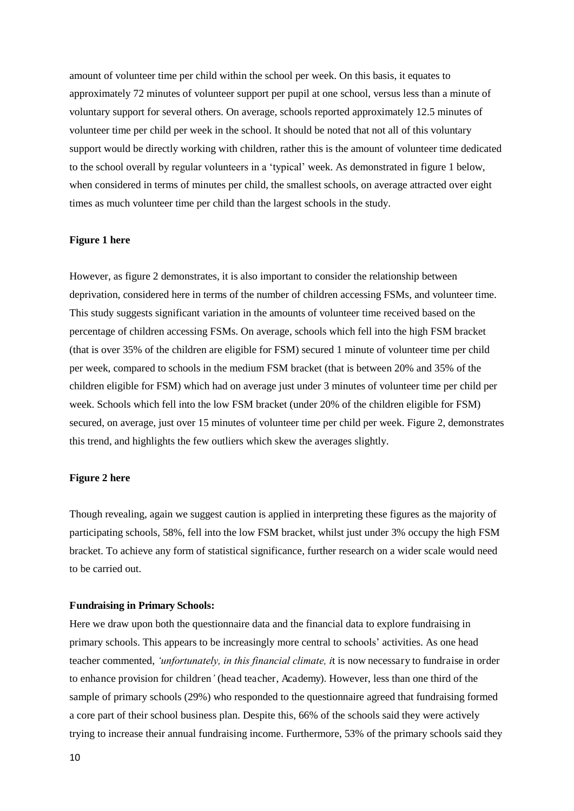amount of volunteer time per child within the school per week. On this basis, it equates to approximately 72 minutes of volunteer support per pupil at one school, versus less than a minute of voluntary support for several others. On average, schools reported approximately 12.5 minutes of volunteer time per child per week in the school. It should be noted that not all of this voluntary support would be directly working with children, rather this is the amount of volunteer time dedicated to the school overall by regular volunteers in a 'typical' week. As demonstrated in figure 1 below, when considered in terms of minutes per child, the smallest schools, on average attracted over eight times as much volunteer time per child than the largest schools in the study.

#### **Figure 1 here**

However, as figure 2 demonstrates, it is also important to consider the relationship between deprivation, considered here in terms of the number of children accessing FSMs, and volunteer time. This study suggests significant variation in the amounts of volunteer time received based on the percentage of children accessing FSMs. On average, schools which fell into the high FSM bracket (that is over 35% of the children are eligible for FSM) secured 1 minute of volunteer time per child per week, compared to schools in the medium FSM bracket (that is between 20% and 35% of the children eligible for FSM) which had on average just under 3 minutes of volunteer time per child per week. Schools which fell into the low FSM bracket (under 20% of the children eligible for FSM) secured, on average, just over 15 minutes of volunteer time per child per week. Figure 2, demonstrates this trend, and highlights the few outliers which skew the averages slightly.

#### **Figure 2 here**

Though revealing, again we suggest caution is applied in interpreting these figures as the majority of participating schools, 58%, fell into the low FSM bracket, whilst just under 3% occupy the high FSM bracket. To achieve any form of statistical significance, further research on a wider scale would need to be carried out.

#### **Fundraising in Primary Schools:**

Here we draw upon both the questionnaire data and the financial data to explore fundraising in primary schools. This appears to be increasingly more central to schools' activities. As one head teacher commented, *'unfortunately, in this financial climate, i*t is now necessary to fundraise in order to enhance provision for children*'* (head teacher, Academy). However, less than one third of the sample of primary schools (29%) who responded to the questionnaire agreed that fundraising formed a core part of their school business plan. Despite this, 66% of the schools said they were actively trying to increase their annual fundraising income. Furthermore, 53% of the primary schools said they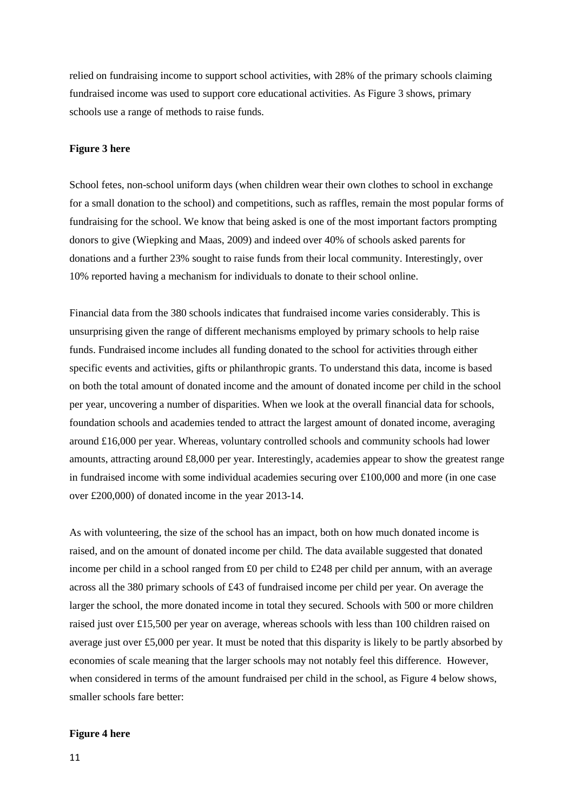relied on fundraising income to support school activities, with 28% of the primary schools claiming fundraised income was used to support core educational activities. As Figure 3 shows, primary schools use a range of methods to raise funds.

#### **Figure 3 here**

School fetes, non-school uniform days (when children wear their own clothes to school in exchange for a small donation to the school) and competitions, such as raffles, remain the most popular forms of fundraising for the school. We know that being asked is one of the most important factors prompting donors to give (Wiepking and Maas, 2009) and indeed over 40% of schools asked parents for donations and a further 23% sought to raise funds from their local community. Interestingly, over 10% reported having a mechanism for individuals to donate to their school online.

Financial data from the 380 schools indicates that fundraised income varies considerably. This is unsurprising given the range of different mechanisms employed by primary schools to help raise funds. Fundraised income includes all funding donated to the school for activities through either specific events and activities, gifts or philanthropic grants. To understand this data, income is based on both the total amount of donated income and the amount of donated income per child in the school per year, uncovering a number of disparities. When we look at the overall financial data for schools, foundation schools and academies tended to attract the largest amount of donated income, averaging around £16,000 per year. Whereas, voluntary controlled schools and community schools had lower amounts, attracting around £8,000 per year. Interestingly, academies appear to show the greatest range in fundraised income with some individual academies securing over £100,000 and more (in one case over £200,000) of donated income in the year 2013-14.

As with volunteering, the size of the school has an impact, both on how much donated income is raised, and on the amount of donated income per child. The data available suggested that donated income per child in a school ranged from £0 per child to £248 per child per annum, with an average across all the 380 primary schools of £43 of fundraised income per child per year. On average the larger the school, the more donated income in total they secured. Schools with 500 or more children raised just over £15,500 per year on average, whereas schools with less than 100 children raised on average just over £5,000 per year. It must be noted that this disparity is likely to be partly absorbed by economies of scale meaning that the larger schools may not notably feel this difference. However, when considered in terms of the amount fundraised per child in the school, as Figure 4 below shows, smaller schools fare better:

#### **Figure 4 here**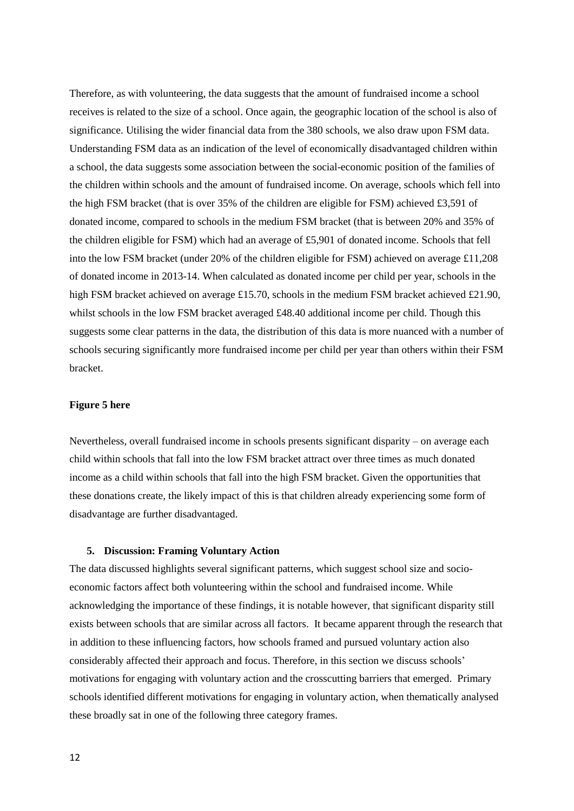Therefore, as with volunteering, the data suggests that the amount of fundraised income a school receives is related to the size of a school. Once again, the geographic location of the school is also of significance. Utilising the wider financial data from the 380 schools, we also draw upon FSM data. Understanding FSM data as an indication of the level of economically disadvantaged children within a school, the data suggests some association between the social-economic position of the families of the children within schools and the amount of fundraised income. On average, schools which fell into the high FSM bracket (that is over 35% of the children are eligible for FSM) achieved £3,591 of donated income, compared to schools in the medium FSM bracket (that is between 20% and 35% of the children eligible for FSM) which had an average of £5,901 of donated income. Schools that fell into the low FSM bracket (under 20% of the children eligible for FSM) achieved on average £11,208 of donated income in 2013-14. When calculated as donated income per child per year, schools in the high FSM bracket achieved on average £15.70, schools in the medium FSM bracket achieved £21.90, whilst schools in the low FSM bracket averaged £48.40 additional income per child. Though this suggests some clear patterns in the data, the distribution of this data is more nuanced with a number of schools securing significantly more fundraised income per child per year than others within their FSM bracket.

#### **Figure 5 here**

Nevertheless, overall fundraised income in schools presents significant disparity – on average each child within schools that fall into the low FSM bracket attract over three times as much donated income as a child within schools that fall into the high FSM bracket. Given the opportunities that these donations create, the likely impact of this is that children already experiencing some form of disadvantage are further disadvantaged.

#### **5. Discussion: Framing Voluntary Action**

The data discussed highlights several significant patterns, which suggest school size and socioeconomic factors affect both volunteering within the school and fundraised income. While acknowledging the importance of these findings, it is notable however, that significant disparity still exists between schools that are similar across all factors. It became apparent through the research that in addition to these influencing factors, how schools framed and pursued voluntary action also considerably affected their approach and focus. Therefore, in this section we discuss schools' motivations for engaging with voluntary action and the crosscutting barriers that emerged. Primary schools identified different motivations for engaging in voluntary action, when thematically analysed these broadly sat in one of the following three category frames.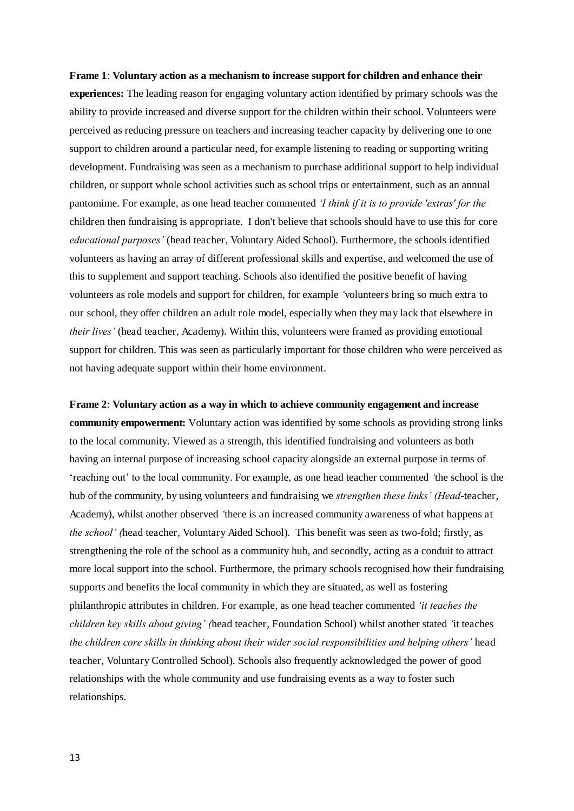#### **Frame 1**: **Voluntary action as a mechanism to increase support for children and enhance their**

**experiences:** The leading reason for engaging voluntary action identified by primary schools was the ability to provide increased and diverse support for the children within their school. Volunteers were perceived as reducing pressure on teachers and increasing teacher capacity by delivering one to one support to children around a particular need, for example listening to reading or supporting writing development. Fundraising was seen as a mechanism to purchase additional support to help individual children, or support whole school activities such as school trips or entertainment, such as an annual pantomime. For example, as one head teacher commented *'I think if it is to provide 'extras' for the*  children then fundraising is appropriate. I don't believe that schools should have to use this for core *educational purposes'* (head teacher, Voluntary Aided School). Furthermore, the schools identified volunteers as having an array of different professional skills and expertise, and welcomed the use of this to supplement and support teaching. Schools also identified the positive benefit of having volunteers as role models and support for children, for example *'*volunteers bring so much extra to our school, they offer children an adult role model, especially when they may lack that elsewhere in *their lives'* (head teacher, Academy). Within this, volunteers were framed as providing emotional support for children. This was seen as particularly important for those children who were perceived as not having adequate support within their home environment.

**Frame 2**: **Voluntary action as a way in which to achieve community engagement and increase community empowerment:** Voluntary action was identified by some schools as providing strong links to the local community. Viewed as a strength, this identified fundraising and volunteers as both having an internal purpose of increasing school capacity alongside an external purpose in terms of 'reaching out' to the local community. For example, as one head teacher commented *'*the school is the hub of the community, by using volunteers and fundraising we *strengthen these links' (Head*-teacher, Academy), whilst another observed *'*there is an increased community awareness of what happens at *the school' (*head teacher, Voluntary Aided School). This benefit was seen as two-fold; firstly, as strengthening the role of the school as a community hub, and secondly, acting as a conduit to attract more local support into the school. Furthermore, the primary schools recognised how their fundraising supports and benefits the local community in which they are situated, as well as fostering philanthropic attributes in children. For example, as one head teacher commented *'it teaches the children key skills about giving' (*head teacher, Foundation School) whilst another stated *'*it teaches *the children core skills in thinking about their wider social responsibilities and helping others'* head teacher, Voluntary Controlled School). Schools also frequently acknowledged the power of good relationships with the whole community and use fundraising events as a way to foster such relationships.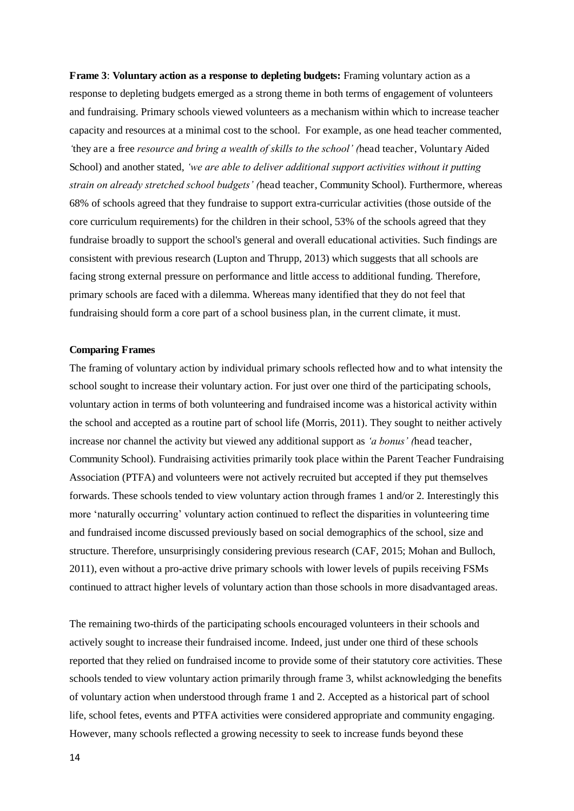**Frame 3**: **Voluntary action as a response to depleting budgets:** Framing voluntary action as a response to depleting budgets emerged as a strong theme in both terms of engagement of volunteers and fundraising. Primary schools viewed volunteers as a mechanism within which to increase teacher capacity and resources at a minimal cost to the school. For example, as one head teacher commented, *'*they are a free *resource and bring a wealth of skills to the school' (*head teacher, Voluntary Aided School) and another stated, *'we are able to deliver additional support activities without it putting strain on already stretched school budgets' (*head teacher, Community School). Furthermore, whereas 68% of schools agreed that they fundraise to support extra-curricular activities (those outside of the core curriculum requirements) for the children in their school, 53% of the schools agreed that they fundraise broadly to support the school's general and overall educational activities. Such findings are consistent with previous research (Lupton and Thrupp, 2013) which suggests that all schools are facing strong external pressure on performance and little access to additional funding. Therefore, primary schools are faced with a dilemma. Whereas many identified that they do not feel that fundraising should form a core part of a school business plan, in the current climate, it must.

#### **Comparing Frames**

The framing of voluntary action by individual primary schools reflected how and to what intensity the school sought to increase their voluntary action. For just over one third of the participating schools, voluntary action in terms of both volunteering and fundraised income was a historical activity within the school and accepted as a routine part of school life (Morris, 2011). They sought to neither actively increase nor channel the activity but viewed any additional support as *'a bonus' (*head teacher, Community School). Fundraising activities primarily took place within the Parent Teacher Fundraising Association (PTFA) and volunteers were not actively recruited but accepted if they put themselves forwards. These schools tended to view voluntary action through frames 1 and/or 2. Interestingly this more 'naturally occurring' voluntary action continued to reflect the disparities in volunteering time and fundraised income discussed previously based on social demographics of the school, size and structure. Therefore, unsurprisingly considering previous research (CAF, 2015; Mohan and Bulloch, 2011), even without a pro-active drive primary schools with lower levels of pupils receiving FSMs continued to attract higher levels of voluntary action than those schools in more disadvantaged areas.

The remaining two-thirds of the participating schools encouraged volunteers in their schools and actively sought to increase their fundraised income. Indeed, just under one third of these schools reported that they relied on fundraised income to provide some of their statutory core activities. These schools tended to view voluntary action primarily through frame 3, whilst acknowledging the benefits of voluntary action when understood through frame 1 and 2. Accepted as a historical part of school life, school fetes, events and PTFA activities were considered appropriate and community engaging. However, many schools reflected a growing necessity to seek to increase funds beyond these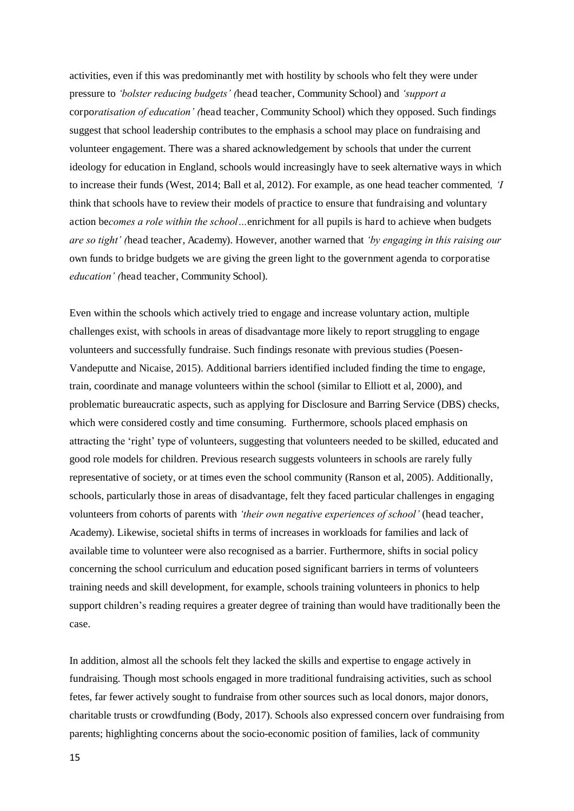activities, even if this was predominantly met with hostility by schools who felt they were under pressure to *'bolster reducing budgets' (*head teacher, Community School) and *'support a*  corpo*ratisation of education' (*head teacher, Community School) which they opposed. Such findings suggest that school leadership contributes to the emphasis a school may place on fundraising and volunteer engagement. There was a shared acknowledgement by schools that under the current ideology for education in England, schools would increasingly have to seek alternative ways in which to increase their funds (West, 2014; Ball et al, 2012). For example, as one head teacher commented*, 'I*  think that schools have to review their models of practice to ensure that fundraising and voluntary action be*comes a role within the school…*enrichment for all pupils is hard to achieve when budgets *are so tight' (*head teacher, Academy). However, another warned that *'by engaging in this raising our*  own funds to bridge budgets we are giving the green light to the government agenda to corporatise *education' (*head teacher, Community School).

Even within the schools which actively tried to engage and increase voluntary action, multiple challenges exist, with schools in areas of disadvantage more likely to report struggling to engage volunteers and successfully fundraise. Such findings resonate with previous studies (Poesen-Vandeputte and Nicaise, 2015). Additional barriers identified included finding the time to engage, train, coordinate and manage volunteers within the school (similar to Elliott et al, 2000), and problematic bureaucratic aspects, such as applying for Disclosure and Barring Service (DBS) checks, which were considered costly and time consuming. Furthermore, schools placed emphasis on attracting the 'right' type of volunteers, suggesting that volunteers needed to be skilled, educated and good role models for children. Previous research suggests volunteers in schools are rarely fully representative of society, or at times even the school community (Ranson et al, 2005). Additionally, schools, particularly those in areas of disadvantage, felt they faced particular challenges in engaging volunteers from cohorts of parents with *'their own negative experiences of school'* (head teacher, Academy). Likewise, societal shifts in terms of increases in workloads for families and lack of available time to volunteer were also recognised as a barrier. Furthermore, shifts in social policy concerning the school curriculum and education posed significant barriers in terms of volunteers training needs and skill development, for example, schools training volunteers in phonics to help support children's reading requires a greater degree of training than would have traditionally been the case.

In addition, almost all the schools felt they lacked the skills and expertise to engage actively in fundraising. Though most schools engaged in more traditional fundraising activities, such as school fetes, far fewer actively sought to fundraise from other sources such as local donors, major donors, charitable trusts or crowdfunding (Body, 2017). Schools also expressed concern over fundraising from parents; highlighting concerns about the socio-economic position of families, lack of community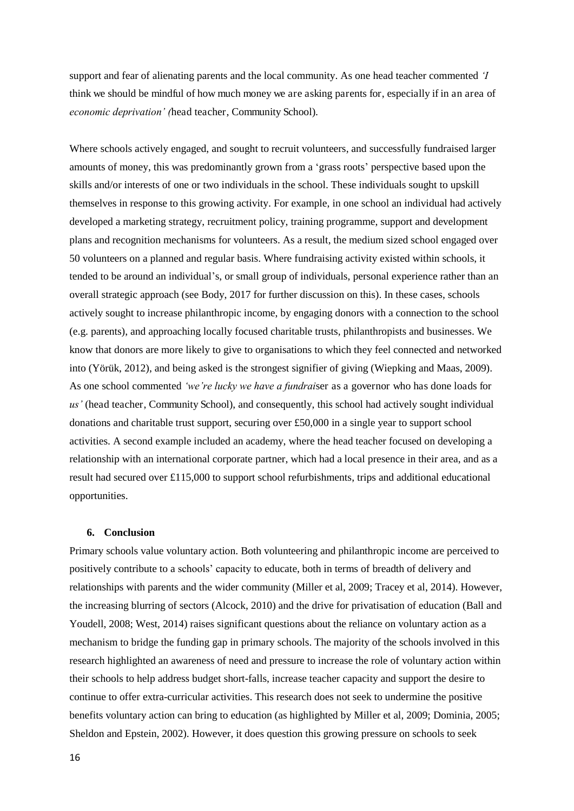support and fear of alienating parents and the local community. As one head teacher commented *'I*  think we should be mindful of how much money we are asking parents for, especially if in an area of *economic deprivation' (*head teacher, Community School).

Where schools actively engaged, and sought to recruit volunteers, and successfully fundraised larger amounts of money, this was predominantly grown from a 'grass roots' perspective based upon the skills and/or interests of one or two individuals in the school. These individuals sought to upskill themselves in response to this growing activity. For example, in one school an individual had actively developed a marketing strategy, recruitment policy, training programme, support and development plans and recognition mechanisms for volunteers. As a result, the medium sized school engaged over 50 volunteers on a planned and regular basis. Where fundraising activity existed within schools, it tended to be around an individual's, or small group of individuals, personal experience rather than an overall strategic approach (see Body, 2017 for further discussion on this). In these cases, schools actively sought to increase philanthropic income, by engaging donors with a connection to the school (e.g. parents), and approaching locally focused charitable trusts, philanthropists and businesses. We know that donors are more likely to give to organisations to which they feel connected and networked into (Yörük, 2012), and being asked is the strongest signifier of giving (Wiepking and Maas, 2009). As one school commented *'we're lucky we have a fundrai*ser as a governor who has done loads for *us'* (head teacher, Community School), and consequently, this school had actively sought individual donations and charitable trust support, securing over £50,000 in a single year to support school activities. A second example included an academy, where the head teacher focused on developing a relationship with an international corporate partner, which had a local presence in their area, and as a result had secured over £115,000 to support school refurbishments, trips and additional educational opportunities.

#### **6. Conclusion**

Primary schools value voluntary action. Both volunteering and philanthropic income are perceived to positively contribute to a schools' capacity to educate, both in terms of breadth of delivery and relationships with parents and the wider community (Miller et al, 2009; Tracey et al, 2014). However, the increasing blurring of sectors (Alcock, 2010) and the drive for privatisation of education (Ball and Youdell, 2008; West, 2014) raises significant questions about the reliance on voluntary action as a mechanism to bridge the funding gap in primary schools. The majority of the schools involved in this research highlighted an awareness of need and pressure to increase the role of voluntary action within their schools to help address budget short-falls, increase teacher capacity and support the desire to continue to offer extra-curricular activities. This research does not seek to undermine the positive benefits voluntary action can bring to education (as highlighted by Miller et al, 2009; Dominia, 2005; Sheldon and Epstein, 2002). However, it does question this growing pressure on schools to seek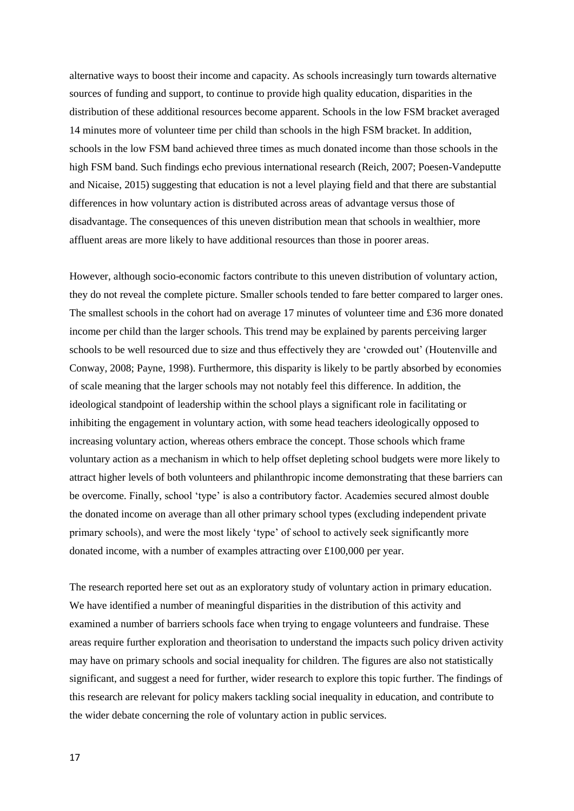alternative ways to boost their income and capacity. As schools increasingly turn towards alternative sources of funding and support, to continue to provide high quality education, disparities in the distribution of these additional resources become apparent. Schools in the low FSM bracket averaged 14 minutes more of volunteer time per child than schools in the high FSM bracket. In addition, schools in the low FSM band achieved three times as much donated income than those schools in the high FSM band. Such findings echo previous international research (Reich, 2007; Poesen-Vandeputte and Nicaise, 2015) suggesting that education is not a level playing field and that there are substantial differences in how voluntary action is distributed across areas of advantage versus those of disadvantage. The consequences of this uneven distribution mean that schools in wealthier, more affluent areas are more likely to have additional resources than those in poorer areas.

However, although socio-economic factors contribute to this uneven distribution of voluntary action, they do not reveal the complete picture. Smaller schools tended to fare better compared to larger ones. The smallest schools in the cohort had on average 17 minutes of volunteer time and £36 more donated income per child than the larger schools. This trend may be explained by parents perceiving larger schools to be well resourced due to size and thus effectively they are 'crowded out' (Houtenville and Conway, 2008; Payne, 1998). Furthermore, this disparity is likely to be partly absorbed by economies of scale meaning that the larger schools may not notably feel this difference. In addition, the ideological standpoint of leadership within the school plays a significant role in facilitating or inhibiting the engagement in voluntary action, with some head teachers ideologically opposed to increasing voluntary action, whereas others embrace the concept. Those schools which frame voluntary action as a mechanism in which to help offset depleting school budgets were more likely to attract higher levels of both volunteers and philanthropic income demonstrating that these barriers can be overcome. Finally, school 'type' is also a contributory factor. Academies secured almost double the donated income on average than all other primary school types (excluding independent private primary schools), and were the most likely 'type' of school to actively seek significantly more donated income, with a number of examples attracting over £100,000 per year.

The research reported here set out as an exploratory study of voluntary action in primary education. We have identified a number of meaningful disparities in the distribution of this activity and examined a number of barriers schools face when trying to engage volunteers and fundraise. These areas require further exploration and theorisation to understand the impacts such policy driven activity may have on primary schools and social inequality for children. The figures are also not statistically significant, and suggest a need for further, wider research to explore this topic further. The findings of this research are relevant for policy makers tackling social inequality in education, and contribute to the wider debate concerning the role of voluntary action in public services.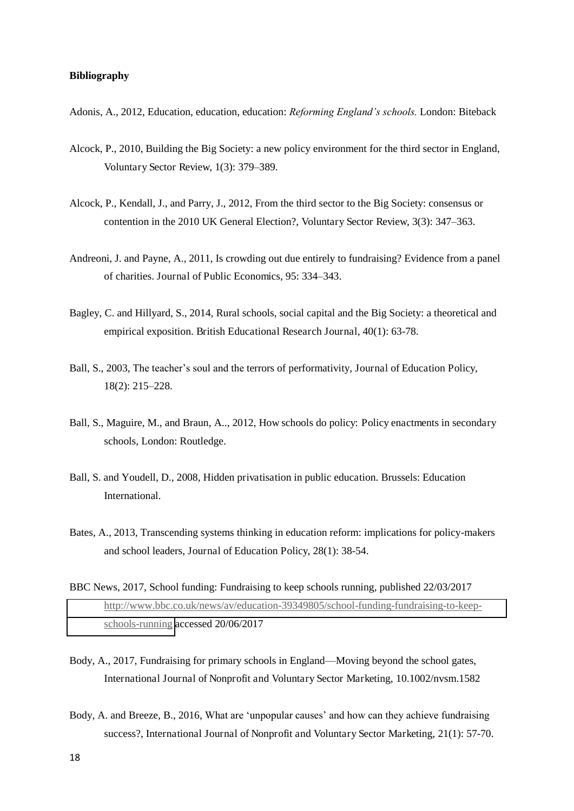#### **Bibliography**

- Adonis, A., 2012, Education, education, education: *Reforming England's schools.* London: Biteback
- Alcock, P., 2010, Building the Big Society: a new policy environment for the third sector in England, Voluntary Sector Review, 1(3): 379–389.
- Alcock, P., Kendall, J., and Parry, J., 2012, From the third sector to the Big Society: consensus or contention in the 2010 UK General Election?, Voluntary Sector Review, 3(3): 347–363.
- Andreoni, J. and Payne, A., 2011, Is crowding out due entirely to fundraising? Evidence from a panel of charities. Journal of Public Economics, 95: 334–343.
- Bagley, C. and Hillyard, S., 2014, Rural schools, social capital and the Big Society: a theoretical and empirical exposition. British Educational Research Journal, 40(1): 63-78.
- Ball, S., 2003, The teacher's soul and the terrors of performativity, Journal of Education Policy, 18(2): 215–228.
- Ball, S., Maguire, M., and Braun, A.., 2012, How schools do policy: Policy enactments in secondary schools, London: Routledge.
- Ball, S. and Youdell, D., 2008, Hidden privatisation in public education. Brussels: Education International.
- Bates, A., 2013, Transcending systems thinking in education reform: implications for policy-makers and school leaders, Journal of Education Policy, 28(1): 38-54.
- BBC News, 2017, School funding: Fundraising to keep schools running, published 22/03/2017 [http://www.bbc.co.uk/news/av/education-39349805/school-funding-fundraising-to-keep](http://www.bbc.co.uk/news/av/education-39349805/school-funding-fundraising-to-keep-schools-running)[schools-running](http://www.bbc.co.uk/news/av/education-39349805/school-funding-fundraising-to-keep-schools-running) accessed 20/06/2017
- Body, A., 2017, Fundraising for primary schools in England—Moving beyond the school gates, International Journal of Nonprofit and Voluntary Sector Marketing, 10.1002/nvsm.1582
- Body, A. and Breeze, B., 2016, What are 'unpopular causes' and how can they achieve fundraising success?, International Journal of Nonprofit and Voluntary Sector Marketing, 21(1): 57-70.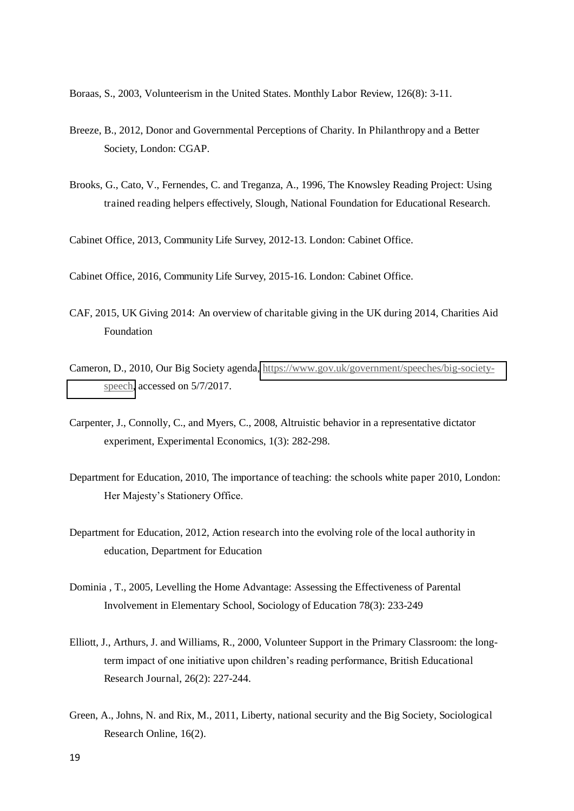Boraas, S., 2003, Volunteerism in the United States. Monthly Labor Review, 126(8): 3-11.

- Breeze, B., 2012, Donor and Governmental Perceptions of Charity. In Philanthropy and a Better Society, London: CGAP.
- Brooks, G., Cato, V., Fernendes, C. and Treganza, A., 1996, The Knowsley Reading Project: Using trained reading helpers effectively, Slough, National Foundation for Educational Research.

Cabinet Office, 2013, Community Life Survey, 2012-13. London: Cabinet Office.

Cabinet Office, 2016, Community Life Survey, 2015-16. London: Cabinet Office.

- CAF, 2015, UK Giving 2014: An overview of charitable giving in the UK during 2014, Charities Aid Foundation
- Cameron, D., 2010, Our Big Society agenda, [https://www.gov.uk/government/speeches/big-society](https://www.gov.uk/government/speeches/big-society-speech)[speech,](https://www.gov.uk/government/speeches/big-society-speech) accessed on 5/7/2017.
- Carpenter, J., Connolly, C., and Myers, C., 2008, Altruistic behavior in a representative dictator experiment, Experimental Economics, 1(3): 282-298.
- Department for Education, 2010, The importance of teaching: the schools white paper 2010, London: Her Majesty's Stationery Office.
- Department for Education, 2012, Action research into the evolving role of the local authority in education, Department for Education
- Dominia , T., 2005, Levelling the Home Advantage: Assessing the Effectiveness of Parental Involvement in Elementary School, Sociology of Education 78(3): 233-249
- Elliott, J., Arthurs, J. and Williams, R., 2000, Volunteer Support in the Primary Classroom: the longterm impact of one initiative upon children's reading performance, British Educational Research Journal, 26(2): 227-244.
- Green, A., Johns, N. and Rix, M., 2011, Liberty, national security and the Big Society, Sociological Research Online, 16(2).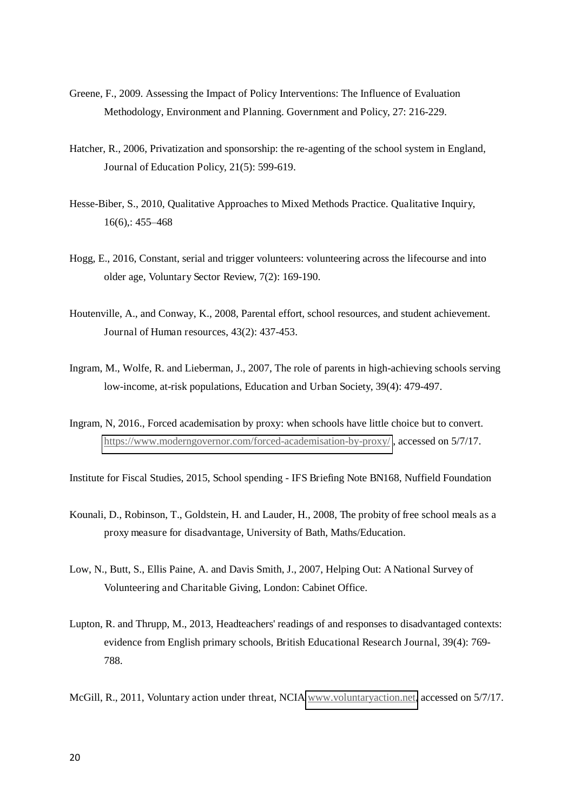- Greene, F., 2009. Assessing the Impact of Policy Interventions: The Influence of Evaluation Methodology, Environment and Planning. Government and Policy, 27: 216-229.
- Hatcher, R., 2006, Privatization and sponsorship: the re-agenting of the school system in England, Journal of Education Policy, 21(5): 599-619.
- Hesse-Biber, S., 2010, Qualitative Approaches to Mixed Methods Practice. Qualitative Inquiry, 16(6),: 455–468
- Hogg, E., 2016, Constant, serial and trigger volunteers: volunteering across the lifecourse and into older age, Voluntary Sector Review, 7(2): 169-190.
- Houtenville, A., and Conway, K., 2008, Parental effort, school resources, and student achievement. Journal of Human resources, 43(2): 437-453.
- Ingram, M., Wolfe, R. and Lieberman, J., 2007, The role of parents in high-achieving schools serving low-income, at-risk populations, Education and Urban Society, 39(4): 479-497.
- Ingram, N, 2016., Forced academisation by proxy: when schools have little choice but to convert. <https://www.moderngovernor.com/forced-academisation-by-proxy/>, accessed on 5/7/17.
- Institute for Fiscal Studies, 2015, School spending IFS Briefing Note BN168, Nuffield Foundation
- Kounali, D., Robinson, T., Goldstein, H. and Lauder, H., 2008, The probity of free school meals as a proxy measure for disadvantage, University of Bath, Maths/Education.
- Low, N., Butt, S., Ellis Paine, A. and Davis Smith, J., 2007, Helping Out: A National Survey of Volunteering and Charitable Giving, London: Cabinet Office.
- Lupton, R. and Thrupp, M., 2013, Headteachers' readings of and responses to disadvantaged contexts: evidence from English primary schools, British Educational Research Journal, 39(4): 769- 788.
- McGill, R., 2011, Voluntary action under threat, NCIA [www.voluntaryaction.net,](http://www.voluntaryaction.net/) accessed on 5/7/17.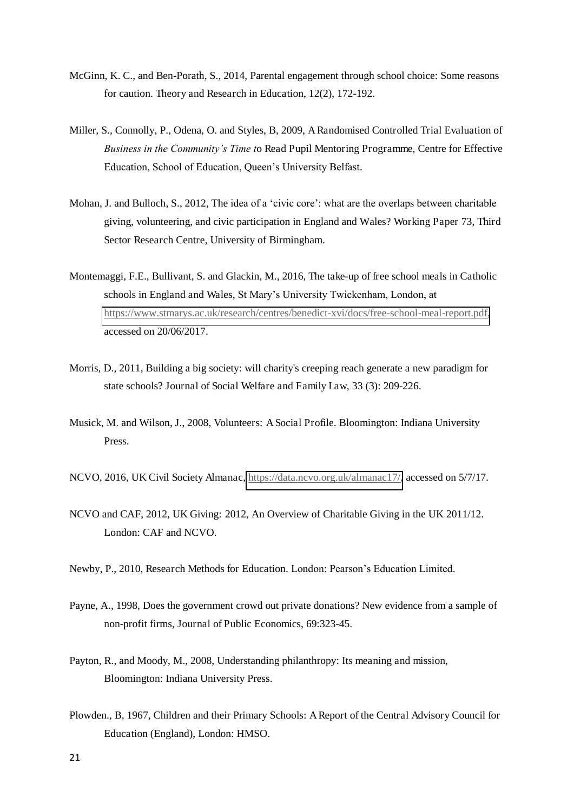- McGinn, K. C., and Ben-Porath, S., 2014, Parental engagement through school choice: Some reasons for caution. Theory and Research in Education, 12(2), 172-192.
- Miller, S., Connolly, P., Odena, O. and Styles, B, 2009, A Randomised Controlled Trial Evaluation of *Business in the Community's Time t*o Read Pupil Mentoring Programme, Centre for Effective Education, School of Education, Queen's University Belfast.
- Mohan, J. and Bulloch, S., 2012, The idea of a 'civic core': what are the overlaps between charitable giving, volunteering, and civic participation in England and Wales? Working Paper 73, Third Sector Research Centre, University of Birmingham.
- Montemaggi, F.E., Bullivant, S. and Glackin, M., 2016, The take-up of free school meals in Catholic schools in England and Wales, St Mary's University Twickenham, London, at [https://www.stmarys.ac.uk/research/centres/benedict-xvi/docs/free-school-meal-report.pdf,](https://www.stmarys.ac.uk/research/centres/benedict-xvi/docs/free-school-meal-report.pdf) accessed on 20/06/2017.
- Morris, D., 2011, Building a big society: will charity's creeping reach generate a new paradigm for state schools? Journal of Social Welfare and Family Law, 33 (3): 209-226.
- Musick, M. and Wilson, J., 2008, Volunteers: A Social Profile. Bloomington: Indiana University Press.
- NCVO, 2016, UK Civil Society Almanac, [https://data.ncvo.org.uk/almanac17/,](https://data.ncvo.org.uk/almanac17/) accessed on 5/7/17.
- NCVO and CAF, 2012, UK Giving: 2012, An Overview of Charitable Giving in the UK 2011/12. London: CAF and NCVO.
- Newby, P., 2010, Research Methods for Education. London: Pearson's Education Limited.
- Payne, A., 1998, Does the government crowd out private donations? New evidence from a sample of non-profit firms, Journal of Public Economics, 69:323-45.
- Payton, R., and Moody, M., 2008, Understanding philanthropy: Its meaning and mission, Bloomington: Indiana University Press.
- Plowden., B, 1967, Children and their Primary Schools: A Report of the Central Advisory Council for Education (England), London: HMSO.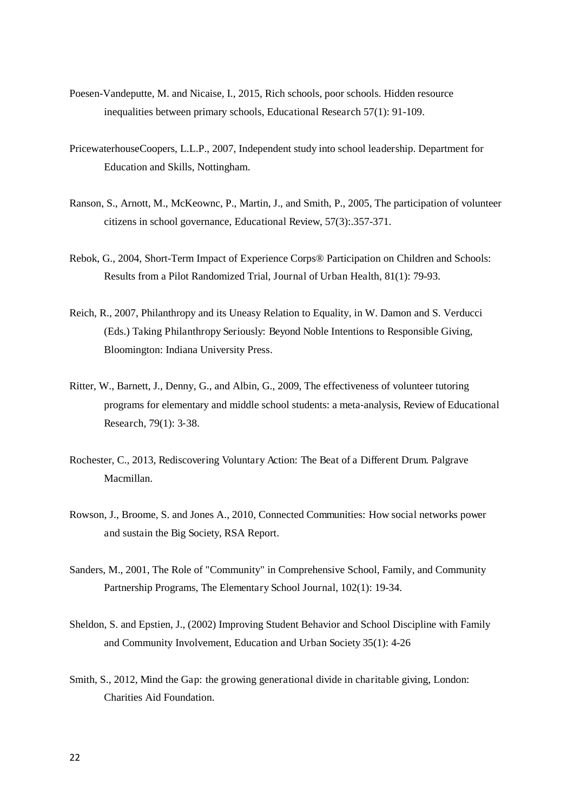- Poesen-Vandeputte, M. and Nicaise, I., 2015, Rich schools, poor schools. Hidden resource inequalities between primary schools, Educational Research 57(1): 91-109.
- PricewaterhouseCoopers, L.L.P., 2007, Independent study into school leadership. Department for Education and Skills, Nottingham.
- Ranson, S., Arnott, M., McKeownc, P., Martin, J., and Smith, P., 2005, The participation of volunteer citizens in school governance, Educational Review, 57(3):.357-371.
- Rebok, G., 2004, Short-Term Impact of Experience Corps® Participation on Children and Schools: Results from a Pilot Randomized Trial, Journal of Urban Health, 81(1): 79-93.
- Reich, R., 2007, Philanthropy and its Uneasy Relation to Equality, in W. Damon and S. Verducci (Eds.) Taking Philanthropy Seriously: Beyond Noble Intentions to Responsible Giving, Bloomington: Indiana University Press.
- Ritter, W., Barnett, J., Denny, G., and Albin, G., 2009, The effectiveness of volunteer tutoring programs for elementary and middle school students: a meta-analysis, Review of Educational Research, 79(1): 3-38.
- Rochester, C., 2013, Rediscovering Voluntary Action: The Beat of a Different Drum. Palgrave Macmillan.
- Rowson, J., Broome, S. and Jones A., 2010, Connected Communities: How social networks power and sustain the Big Society, RSA Report.
- Sanders, M., 2001, The Role of "Community" in Comprehensive School, Family, and Community Partnership Programs, The Elementary School Journal, 102(1): 19-34.
- Sheldon, S. and Epstien, J., (2002) Improving Student Behavior and School Discipline with Family and Community Involvement, Education and Urban Society 35(1): 4-26
- Smith, S., 2012, Mind the Gap: the growing generational divide in charitable giving, London: Charities Aid Foundation.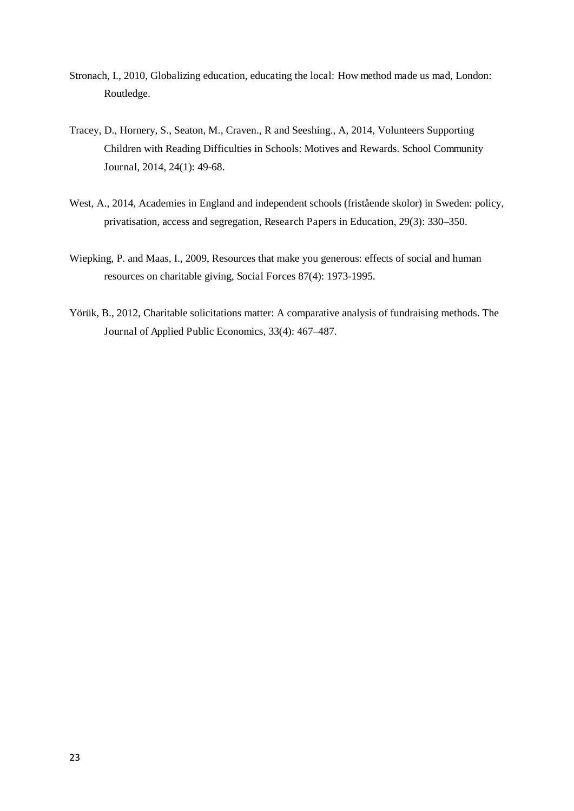- Stronach, I., 2010, Globalizing education, educating the local: How method made us mad, London: Routledge.
- Tracey, D., Hornery, S., Seaton, M., Craven., R and Seeshing., A, 2014, Volunteers Supporting Children with Reading Difficulties in Schools: Motives and Rewards. School Community Journal, 2014, 24(1): 49-68.
- West, A., 2014, Academies in England and independent schools (fristående skolor) in Sweden: policy, privatisation, access and segregation, Research Papers in Education, 29(3): 330–350.
- Wiepking, P. and Maas, I., 2009, Resources that make you generous: effects of social and human resources on charitable giving, Social Forces 87(4): 1973-1995.
- Yörük, B., 2012, Charitable solicitations matter: A comparative analysis of fundraising methods. The Journal of Applied Public Economics, 33(4): 467–487.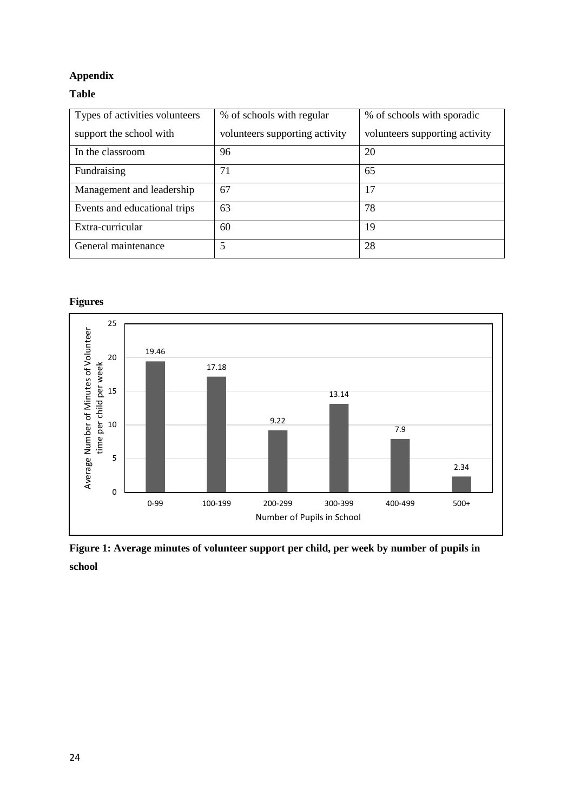#### **Appendix**

#### **Table**

| Types of activities volunteers | % of schools with regular      | % of schools with sporadic     |
|--------------------------------|--------------------------------|--------------------------------|
| support the school with        | volunteers supporting activity | volunteers supporting activity |
| In the classroom               | 96                             | 20                             |
| Fundraising                    | 71                             | 65                             |
| Management and leadership      | 67                             | 17                             |
| Events and educational trips   | 63                             | 78                             |
| Extra-curricular               | 60                             | 19                             |
| General maintenance            | 5                              | 28                             |

#### **Figures**



**Figure 1: Average minutes of volunteer support per child, per week by number of pupils in school**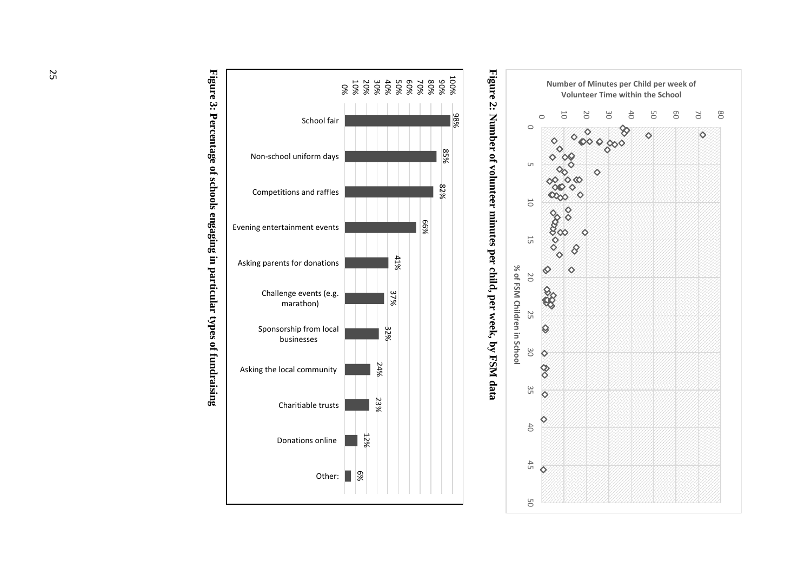

Figure 2: Number of volunteer minutes per child, per week, by FSM data **Figure 2: Number of volunteer minutes per child, per week, by FSM data** 



Figure 3: Percentage of schools engaging in particular types of fundraising **Figure 3: Percentage of schools engaging in particular types of fundraising**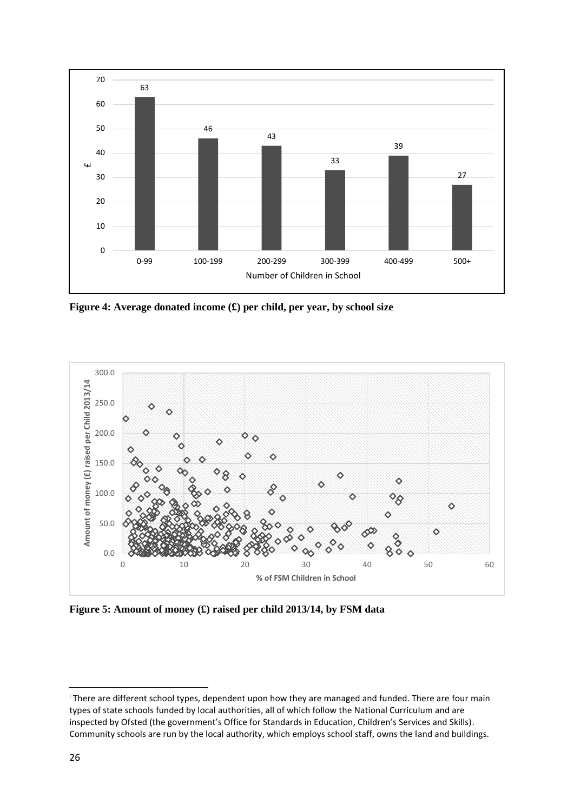

**Figure 4: Average donated income (£) per child, per year, by school size** 



**Figure 5: Amount of money (£) raised per child 2013/14, by FSM data** 

<u>.</u>

i There are different school types, dependent upon how they are managed and funded. There are four main types of state schools funded by local authorities, all of which follow the National Curriculum and are inspected by Ofsted (the government's Office for Standards in Education, Children's Services and Skills). Community schools are run by the local authority, which employs school staff, owns the land and buildings.